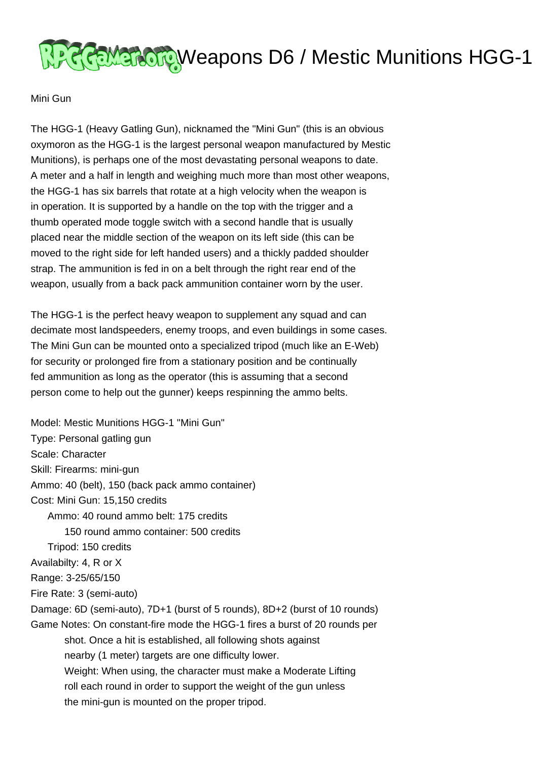

Mini Gun

The HGG-1 (Heavy Gatling Gun), nicknamed the "Mini Gun" (this is an obvious oxymoron as the HGG-1 is the largest personal weapon manufactured by Mestic Munitions), is perhaps one of the most devastating personal weapons to date. A meter and a half in length and weighing much more than most other weapons, the HGG-1 has six barrels that rotate at a high velocity when the weapon is in operation. It is supported by a handle on the top with the trigger and a thumb operated mode toggle switch with a second handle that is usually placed near the middle section of the weapon on its left side (this can be moved to the right side for left handed users) and a thickly padded shoulder strap. The ammunition is fed in on a belt through the right rear end of the weapon, usually from a back pack ammunition container worn by the user.

The HGG-1 is the perfect heavy weapon to supplement any squad and can decimate most landspeeders, enemy troops, and even buildings in some cases. The Mini Gun can be mounted onto a specialized tripod (much like an E-Web) for security or prolonged fire from a stationary position and be continually fed ammunition as long as the operator (this is assuming that a second person come to help out the gunner) keeps respinning the ammo belts.

Model: Mestic Munitions HGG-1 "Mini Gun" Type: Personal gatling gun Scale: Character Skill: Firearms: mini-gun Ammo: 40 (belt), 150 (back pack ammo container) Cost: Mini Gun: 15,150 credits Ammo: 40 round ammo belt: 175 credits 150 round ammo container: 500 credits Tripod: 150 credits Availabilty: 4, R or X Range: 3-25/65/150 Fire Rate: 3 (semi-auto) Damage: 6D (semi-auto), 7D+1 (burst of 5 rounds), 8D+2 (burst of 10 rounds) Game Notes: On constant-fire mode the HGG-1 fires a burst of 20 rounds per shot. Once a hit is established, all following shots against nearby (1 meter) targets are one difficulty lower. Weight: When using, the character must make a Moderate Lifting roll each round in order to support the weight of the gun unless the mini-gun is mounted on the proper tripod.